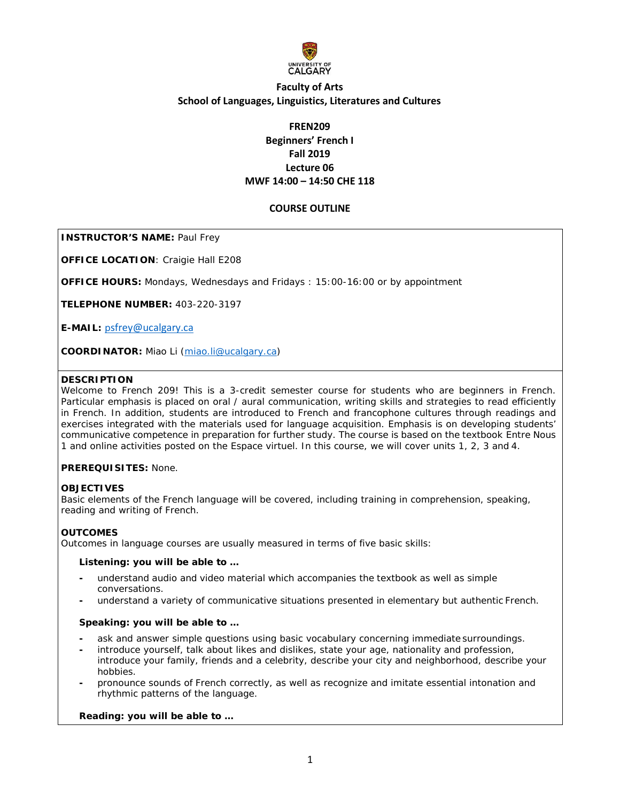

# **FREN209 Beginners' French I Fall 2019 Lecture 06 MWF 14:00 – 14:50 CHE 118**

### **COURSE OUTLINE**

**INSTRUCTOR'S NAME: Paul Frey** 

**OFFICE LOCATION**: Craigie Hall E208

**OFFICE HOURS:** Mondays, Wednesdays and Fridays : 15:00-16:00 or by appointment

**TELEPHONE NUMBER:** 403-220-3197

**E-MAIL:** p[sfrey@ucalgary.ca](mailto:psfrey@ucalgary.ca)

**COORDINATOR:** Miao Li [\(miao.li@ucalgary.ca\)](mailto:miao.li@ucalgary.ca)

### **DESCRIPTION**

Welcome to French 209! This is a 3-credit semester course for students who are beginners in French. Particular emphasis is placed on oral / aural communication, writing skills and strategies to read efficiently in French. In addition, students are introduced to French and francophone cultures through readings and exercises integrated with the materials used for language acquisition. Emphasis is on developing students' communicative competence in preparation for further study. The course is based on the textbook *Entre Nous 1* and online activities posted on the *Espace virtuel*. In this course, we will cover units 1, 2, 3 and 4.

### **PREREQUISITES:** None.

### **OBJECTIVES**

Basic elements of the French language will be covered, including training in comprehension, speaking, reading and writing of French.

### **OUTCOMES**

Outcomes in language courses are usually measured in terms of five basic skills:

#### **Listening: you will be able to …**

- **-** understand audio and video material which accompanies the textbook as well as simple conversations.
- **-** understand a variety of communicative situations presented in elementary but authentic French.

### **Speaking: you will be able to …**

- **-** ask and answer simple questions using basic vocabulary concerning immediate surroundings.
- **-** introduce yourself, talk about likes and dislikes, state your age, nationality and profession, introduce your family, friends and a celebrity, describe your city and neighborhood, describe your hobbies.
- **-** pronounce sounds of French correctly, as well as recognize and imitate essential intonation and rhythmic patterns of the language.

### **Reading: you will be able to …**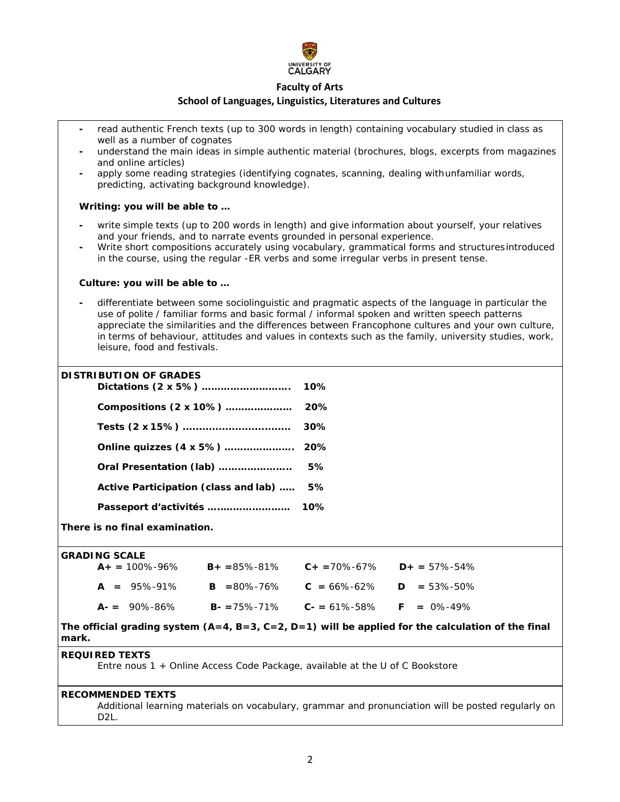

### **Faculty of Arts**

#### **School of Languages, Linguistics, Literatures and Cultures**

**-** read authentic French texts (up to 300 words in length) containing vocabulary studied in class as well as a number of cognates **-** understand the main ideas in simple authentic material (brochures, blogs, excerpts from magazines and online articles) **-** apply some reading strategies (identifying cognates, scanning, dealing withunfamiliar words, predicting, activating background knowledge). **Writing: you will be able to … -** write simple texts (up to 200 words in length) and give information about yourself, your relatives and your friends, and to narrate events grounded in personal experience. **-** Write short compositions accurately using vocabulary, grammatical forms and structuresintroduced in the course, using the regular -*ER* verbs and some irregular verbs in present tense. **Culture: you will be able to … -** differentiate between some sociolinguistic and pragmatic aspects of the language in particular the use of polite / familiar forms and basic formal / informal spoken and written speech patterns appreciate the similarities and the differences between Francophone cultures and your own culture, in terms of behaviour, attitudes and values in contexts such as the family, university studies, work, leisure, food and festivals. **DISTRIBUTION OF GRADES Dictations (2 x 5%) ………………………. 10% Compositions (2 x 10%) ………………… 20% Tests (2 x 15%) ................................. 30% Online quizzes (4 x 5%) …………………. 20% Oral Presentation (lab) ………………….. 5% Active Participation (class and lab) ..… 5% Passeport d'activités …..………………… 10% There is no final examination. GRADING SCALE A+ =** 100%-96% **B+ =**85%-81% **C+ =**70%-67% **D+ =** 57%-54% **A =** 95%-91% **B =**80%-76% **C =** 66%-62% **D =** 53%-50% **A- =** 90%-86% **B- =**75%-71% **C- =** 61%-58% **F =** 0%-49% **The official grading system (A=4, B=3, C=2, D=1) will be applied for the calculation of the final mark. REQUIRED TEXTS** *Entre nous 1 +* Online Access Code Package, available at the U of C Bookstore **RECOMMENDED TEXTS** Additional learning materials on vocabulary, grammar and pronunciation will be posted regularly on D2L.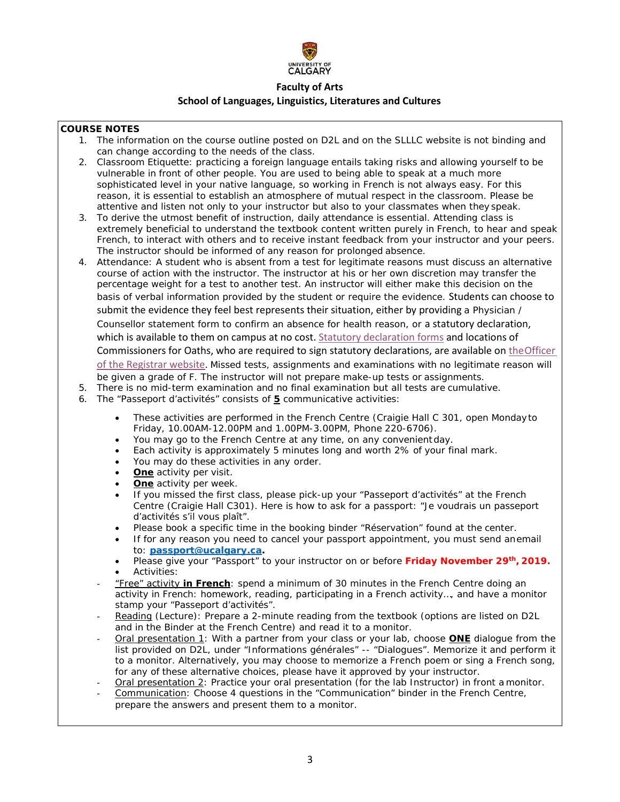

## **COURSE NOTES**

- 1. The information on the course outline posted on D2L and on the SLLLC website is not binding and can change according to the needs of the class.
- 2. Classroom Etiquette: practicing a foreign language entails taking risks and allowing yourself to be vulnerable in front of other people. You are used to being able to speak at a much more sophisticated level in your native language, so working in French is not always easy. For this reason, it is essential to establish an atmosphere of mutual respect in the classroom. Please be attentive and listen not only to your instructor but also to your classmates when they speak.
- 3. To derive the utmost benefit of instruction, daily attendance is essential. Attending class is extremely beneficial to understand the textbook content written purely in French, to hear and speak French, to interact with others and to receive instant feedback from your instructor and your peers. The instructor should be informed of any reason for prolonged absence.
- 4. Attendance: A student who is absent from a test for legitimate reasons must discuss an alternative course of action with the instructor. The instructor at his or her own discretion may transfer the percentage weight for a test to another test. An instructor will either make this decision on the basis of verbal information provided by the student or require the evidence. Students can choose to submit the evidence they feel best represents their situation, either by providing a Physician / Counsellor statement form to confirm an absence for health reason, or a statutory declaration, which is available to them on campus at no cost. [Statutory declaration forms](https://www.ucalgary.ca/registrar/files/registrar/university-of-calgary-statutory-declaration-coursework-and-examinations.pdf) and locations of Commissioners for Oaths, who are required to sign statutory declarations, are available on the Officer [of the Registrar website.](https://www.ucalgary.ca/registrar/registration/appeals) Missed tests, assignments and examinations with no legitimate reason will be given a grade of F. The instructor will not prepare make-up tests or assignments.
- 5. There is no mid-term examination and no final examination but all tests are cumulative.
- 6. The "Passeport d'activités" consists of **5** communicative activities:
	- These activities are performed in the French Centre (Craigie Hall C 301, open Mondayto Friday, 10.00AM-12.00PM and 1.00PM-3.00PM, Phone 220-6706).
	- You may go to the French Centre at any time, on any convenient day.
	- Each activity is approximately 5 minutes long and worth 2% of your final mark.
	- You may do these activities in any order.
	- **One** activity per visit.
	- **One** activity per week.
	- If you missed the first class, please pick-up your "Passeport d'activités" at the French Centre (Craigie Hall C301). Here is how to ask for a passport: "Je voudrais un passeport d'activités s'il vous plaît".
	- Please book a specific time in the booking binder "Réservation" found at the center.
	- If for any reason you need to cancel your passport appointment, you must send anemail to: **[passport@ucalgary.ca.](mailto:passport@ucalgary.ca)**
	- Please give your "Passport" to your instructor on or before **Friday November 29th, 2019.** • Activities:
	- "Free" activity **in French**: spend a minimum of 30 minutes in the French Centre doing an activity in French: homework, reading, participating in a French activity…, and have a monitor stamp your "Passeport d'activités".
	- Reading (*Lecture*): Prepare a 2-minute reading from the textbook (options are listed on D2L and in the Binder at the French Centre) and read it to a monitor.
	- Oral presentation 1: With a partner from your class or your lab, choose **ONE** dialogue from the list provided on D2L, under "Informations générales" -- "Dialogues". Memorize it and perform it to a monitor. Alternatively, you may choose to memorize a French poem or sing a French song, for any of these alternative choices, please have it approved by your instructor.
	- Oral presentation 2: Practice your oral presentation (for the lab Instructor) in front a monitor.
	- Communication: Choose 4 questions in the "Communication" binder in the French Centre, prepare the answers and present them to a monitor.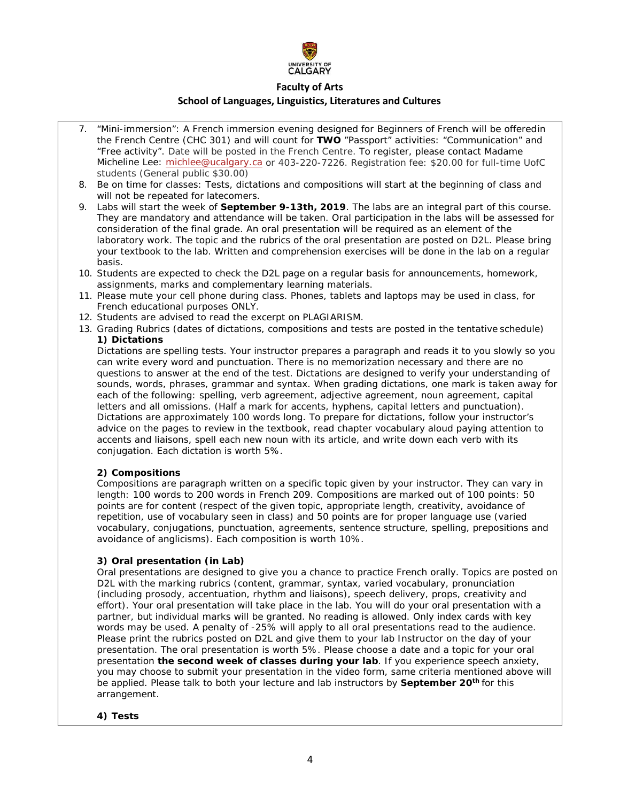

## **Faculty of Arts**

### **School of Languages, Linguistics, Literatures and Cultures**

- 7. "Mini-immersion": A French immersion evening designed for Beginners of French will be offeredin the French Centre (CHC 301) and will count for **TWO** "Passport" activities: "Communication" and "Free activity". Date will be posted in the French Centre. To register, please contact Madame Micheline Lee: [michlee@ucalgary.ca](mailto:michlee@ucalgary.ca) or 403-220-7226. Registration fee: \$20.00 for full-time UofC students (General public \$30.00)
- 8. Be on time for classes: Tests, dictations and compositions will start at the beginning of class and will not be repeated for latecomers.
- 9. Labs will start the week of **September 9-13th, 2019**. The labs are an integral part of this course. They are mandatory and attendance will be taken. Oral participation in the labs will be assessed for consideration of the final grade. An oral presentation will be required as an element of the laboratory work. The topic and the rubrics of the oral presentation are posted on D2L. Please bring your textbook to the lab. Written and comprehension exercises will be done in the lab on a regular basis.
- 10. Students are expected to check the D2L page on a regular basis for announcements, homework, assignments, marks and complementary learning materials.
- 11. Please mute your cell phone during class. Phones, tablets and laptops may be used in class, for French educational purposes ONLY.
- 12. Students are advised to read the excerpt on PLAGIARISM.
- 13. Grading Rubrics (dates of dictations, compositions and tests are posted in the tentative schedule) **1) Dictations**

Dictations are spelling tests. Your instructor prepares a paragraph and reads it to you slowly so you can write every word and punctuation. There is no memorization necessary and there are no questions to answer at the end of the test. Dictations are designed to verify your understanding of sounds, words, phrases, grammar and syntax. When grading dictations, one mark is taken away for each of the following: spelling, verb agreement, adjective agreement, noun agreement, capital letters and all omissions. (Half a mark for accents, hyphens, capital letters and punctuation). Dictations are approximately 100 words long. To prepare for dictations, follow your instructor's advice on the pages to review in the textbook, read chapter vocabulary aloud paying attention to accents and liaisons, spell each new noun with its article, and write down each verb with its conjugation. Each dictation is worth 5%.

### **2) Compositions**

Compositions are paragraph written on a specific topic given by your instructor. They can vary in length: 100 words to 200 words in French 209. Compositions are marked out of 100 points: 50 points are for content (respect of the given topic, appropriate length, creativity, avoidance of repetition, use of vocabulary seen in class) and 50 points are for proper language use (varied vocabulary, conjugations, punctuation, agreements, sentence structure, spelling, prepositions and avoidance of anglicisms). Each composition is worth 10%.

### **3) Oral presentation (in Lab)**

Oral presentations are designed to give you a chance to practice French orally. Topics are posted on D2L with the marking rubrics (content, grammar, syntax, varied vocabulary, pronunciation (including prosody, accentuation, rhythm and liaisons), speech delivery, props, creativity and effort). Your oral presentation will take place in the lab. You will do your oral presentation with a partner, but individual marks will be granted. No reading is allowed. Only index cards with key words may be used. A penalty of -25% will apply to all oral presentations read to the audience. Please print the rubrics posted on D2L and give them to your lab Instructor on the day of your presentation. The oral presentation is worth 5%. Please choose a date and a topic for your oral presentation **the second week of classes during your lab**. If you experience speech anxiety, you may choose to submit your presentation in the video form, same criteria mentioned above will be applied. Please talk to both your lecture and lab instructors by **September 20th** for this arrangement.

#### **4) Tests**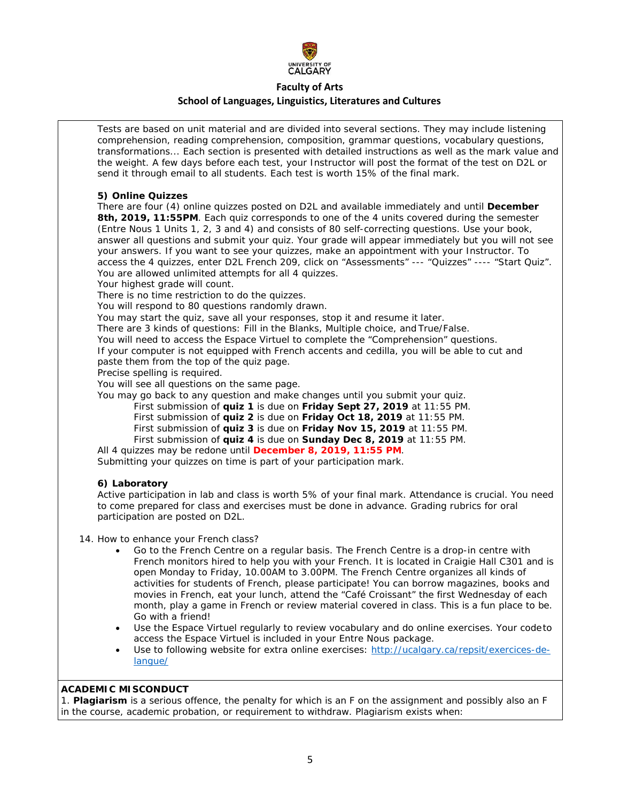

#### **Faculty of Arts**

#### **School of Languages, Linguistics, Literatures and Cultures**

Tests are based on unit material and are divided into several sections. They may include listening comprehension, reading comprehension, composition, grammar questions, vocabulary questions, transformations... Each section is presented with detailed instructions as well as the mark value and the weight. A few days before each test, your Instructor will post the format of the test on D2L or send it through email to all students. Each test is worth 15% of the final mark.

#### **5) Online Quizzes**

There are four (4) online quizzes posted on D2L and available immediately and until **December 8th, 2019, 11:55PM**. Each quiz corresponds to one of the 4 units covered during the semester (*Entre Nous 1* Units 1, 2, 3 and 4) and consists of 80 self-correcting questions. Use your book, answer all questions and submit your quiz. Your grade will appear immediately but you will not see your answers. If you want to see your quizzes, make an appointment with your Instructor. To access the 4 quizzes, enter D2L French 209, click on "Assessments" --- "Quizzes" ---- "Start Quiz". You are allowed unlimited attempts for all 4 quizzes.

Your highest grade will count.

There is no time restriction to do the quizzes.

You will respond to 80 questions randomly drawn.

You may start the quiz, save all your responses, stop it and resume it later.

There are 3 kinds of questions: Fill in the Blanks, Multiple choice, and True/False.

You will need to access the *Espace Virtuel* to complete the "Comprehension" questions. If your computer is not equipped with French accents and cedilla, you will be able to cut and paste them from the top of the quiz page.

Precise spelling is required.

You will see all questions on the same page.

You may go back to any question and make changes until you submit your quiz.

First submission of **quiz 1** is due on **Friday Sept 27, 2019** at 11:55 PM.

First submission of **quiz 2** is due on **Friday Oct 18, 2019** at 11:55 PM.

First submission of **quiz 3** is due on **Friday Nov 15, 2019** at 11:55 PM.

First submission of **quiz 4** is due on **Sunday Dec 8, 2019** at 11:55 PM.

All 4 quizzes may be redone until **December 8, 2019, 11:55 PM**. Submitting your quizzes on time is part of your participation mark.

### **6) Laboratory**

Active participation in lab and class is worth 5% of your final mark. Attendance is crucial. You need to come prepared for class and exercises must be done in advance. Grading rubrics for oral participation are posted on D2L.

14. How to enhance your French class?

- Go to the French Centre on a regular basis. The French Centre is a drop-in centre with French monitors hired to help you with your French. It is located in Craigie Hall C301 and is open Monday to Friday, 10.00AM to 3.00PM. The French Centre organizes all kinds of activities for students of French, please participate! You can borrow magazines, books and movies in French, eat your lunch, attend the "Café Croissant" the first Wednesday of each month, play a game in French or review material covered in class. This is a fun place to be. Go with a friend!
- Use the *Espace Virtuel* regularly to review vocabulary and do online exercises. Your codeto access the *Espace Virtuel* is included in your *Entre Nous package.*
- Use to following website for extra online exercises: [http://ucalgary.ca/repsit/exercices-de](http://ucalgary.ca/repsit/exercices-de-langue/)[langue/](http://ucalgary.ca/repsit/exercices-de-langue/)

### **ACADEMIC MISCONDUCT**

1. **Plagiarism** is a serious offence, the penalty for which is an F on the assignment and possibly also an F in the course, academic probation, or requirement to withdraw. Plagiarism exists when: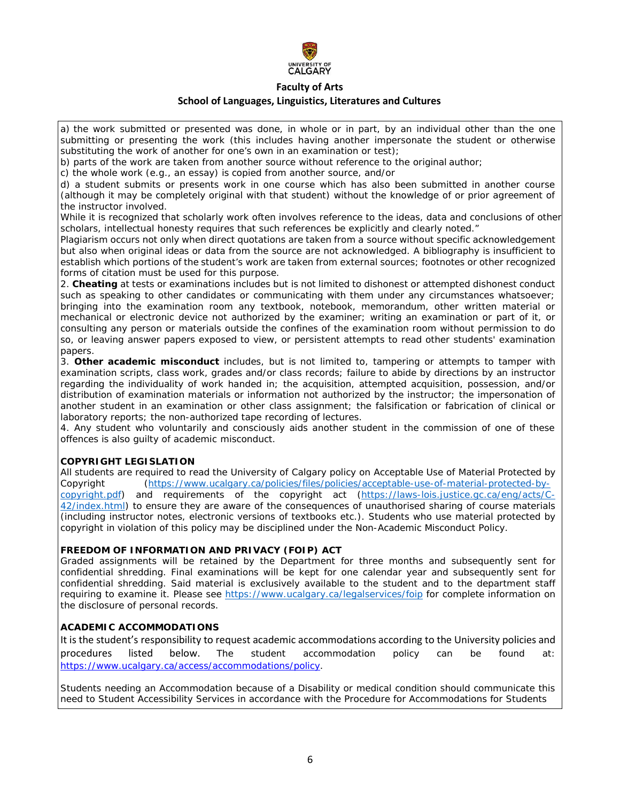

a) the work submitted or presented was done, in whole or in part, by an individual other than the one submitting or presenting the work (this includes having another impersonate the student or otherwise substituting the work of another for one's own in an examination or test);

b) parts of the work are taken from another source without reference to the original author;

c) the whole work (e.g., an essay) is copied from another source, and/or

d) a student submits or presents work in one course which has also been submitted in another course (although it may be completely original with that student) without the knowledge of or prior agreement of the instructor involved.

While it is recognized that scholarly work often involves reference to the ideas, data and conclusions of other scholars, intellectual honesty requires that such references be explicitly and clearly noted."

Plagiarism occurs not only when direct quotations are taken from a source without specific acknowledgement but also when original ideas or data from the source are not acknowledged. A bibliography is insufficient to establish which portions of the student's work are taken from external sources; footnotes or other recognized forms of citation must be used for this purpose.

2. **Cheating** at tests or examinations includes but is not limited to dishonest or attempted dishonest conduct such as speaking to other candidates or communicating with them under any circumstances whatsoever; bringing into the examination room any textbook, notebook, memorandum, other written material or mechanical or electronic device not authorized by the examiner; writing an examination or part of it, or consulting any person or materials outside the confines of the examination room without permission to do so, or leaving answer papers exposed to view, or persistent attempts to read other students' examination papers.

3. **Other academic misconduct** includes, but is not limited to, tampering or attempts to tamper with examination scripts, class work, grades and/or class records; failure to abide by directions by an instructor regarding the individuality of work handed in; the acquisition, attempted acquisition, possession, and/or distribution of examination materials or information not authorized by the instructor; the impersonation of another student in an examination or other class assignment; the falsification or fabrication of clinical or laboratory reports; the non-authorized tape recording of lectures.

4. Any student who voluntarily and consciously aids another student in the commission of one of these offences is also guilty of academic misconduct.

## **COPYRIGHT LEGISLATION**

All students are required to read the University of Calgary policy on Acceptable Use of Material Protected by Copyright [\(https://www.ucalgary.ca/policies/files/policies/acceptable-use-of-material-protected-by](https://www.ucalgary.ca/policies/files/policies/acceptable-use-of-material-protected-by-copyright.pdf)[copyright.pdf\)](https://www.ucalgary.ca/policies/files/policies/acceptable-use-of-material-protected-by-copyright.pdf) and requirements of the copyright act [\(https://laws-lois.justice.gc.ca/eng/acts/C-](https://laws-lois.justice.gc.ca/eng/acts/C-42/index.html)[42/index.html\)](https://laws-lois.justice.gc.ca/eng/acts/C-42/index.html) to ensure they are aware of the consequences of unauthorised sharing of course materials (including instructor notes, electronic versions of textbooks etc.). Students who use material protected by copyright in violation of this policy may be disciplined under the Non-Academic Misconduct Policy.

### **FREEDOM OF INFORMATION AND PRIVACY (FOIP) ACT**

Graded assignments will be retained by the Department for three months and subsequently sent for confidential shredding. Final examinations will be kept for one calendar year and subsequently sent for confidential shredding. Said material is exclusively available to the student and to the department staff requiring to examine it. Please see<https://www.ucalgary.ca/legalservices/foip> for complete information on the disclosure of personal records.

## **ACADEMIC ACCOMMODATIONS**

It is the student's responsibility to request academic accommodations according to the University policies and procedures listed below. The student accommodation policy can be found at: [https://www.ucalgary.ca/access/accommodations/policy.](https://www.ucalgary.ca/access/accommodations/policy)

Students needing an Accommodation because of a Disability or medical condition should communicate this need to Student Accessibility Services in accordance with the Procedure for Accommodations for Students